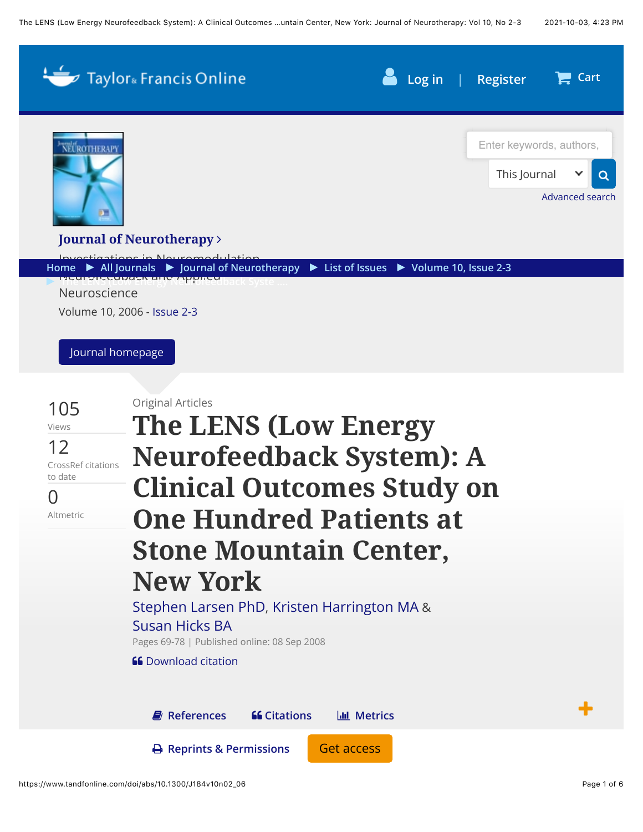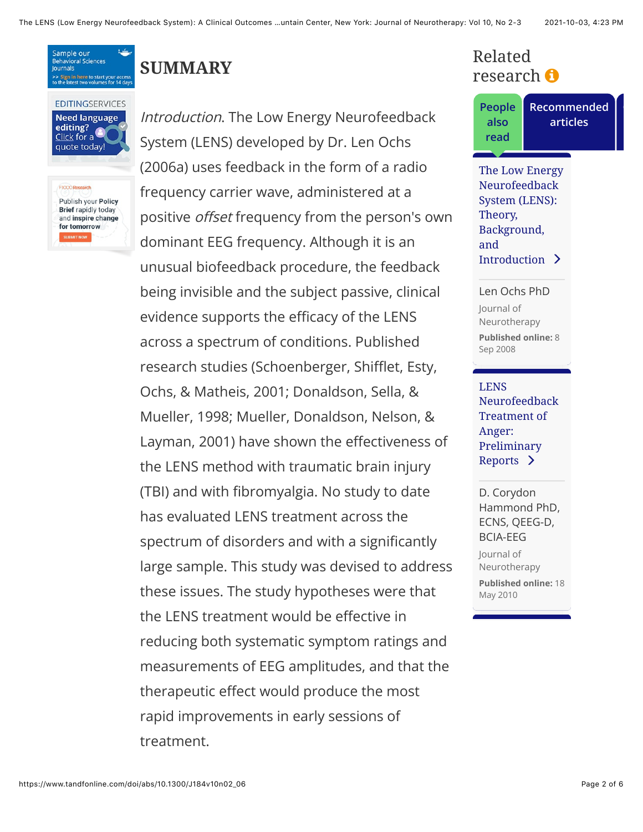Sample our Behavioral Sciences **lournals** >> Sign in here to start you<br>to the latest two volumes f

#### **EDITINGSERVICES Need language** editing? quote today!

F1000 Research Publish your Policy **Brief rapidly today** and inspire change for tomorrow

# **SUMMARY**

Introduction. The Low Energy Neurofeedback System (LENS) developed by Dr. Len Ochs (2006a) uses feedback in the form of a radio frequency carrier wave, administered at a positive *offset* frequency from the person's own dominant EEG frequency. Although it is an unusual biofeedback procedure, the feedback being invisible and the subject passive, clinical evidence supports the efficacy of the LENS across a spectrum of conditions. Published research studies (Schoenberger, Shifflet, Esty, Ochs, & Matheis, 2001; Donaldson, Sella, & Mueller, 1998; Mueller, Donaldson, Nelson, & Layman, 2001) have shown the effectiveness of the LENS method with traumatic brain injury (TBI) and with fibromyalgia. No study to date has evaluated LENS treatment across the spectrum of disorders and with a significantly large sample. This study was devised to address these issues. The study hypotheses were that the LENS treatment would be effective in reducing both systematic symptom ratings and measurements of EEG amplitudes, and that the therapeutic effect would produce the most rapid improvements in early sessions of treatment.

## Related research  $\boldsymbol{\Theta}$

**People** also read

Recommended articles

<span id="page-1-0"></span>The Low Energy Neurofeedback System (LENS): Theory, Background, and Introduction >

Len Ochs PhD lournal of Neurotherapy **Published online: 8** Sep 2008

**LENS** Neurofeedback **Treatment of** Anger: Preliminary Reports  $\sum$ 

D. Corydon Hammond PhD, ECNS, QEEG-D, **BCIA-EEG** Journal of Neurotherapy **Published online: 18** May 2010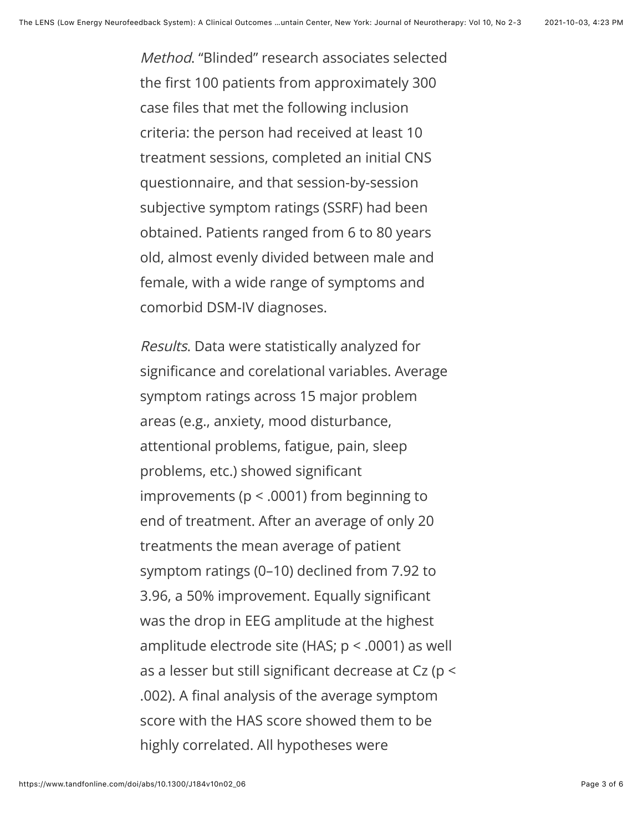Method. "Blinded" research associates selected the first 100 patients from approximately 300 case files that met the following inclusion criteria: the person had received at least 10 treatment sessions, completed an initial CNS questionnaire, and that session-by-session subjective symptom ratings (SSRF) had been obtained. Patients ranged from 6 to 80 years old, almost evenly divided between male and female, with a wide range of symptoms and comorbid DSM-IV diagnoses.

Results. Data were statistically analyzed for significance and corelational variables. Average symptom ratings across 15 major problem areas (e.g., anxiety, mood disturbance, attentional problems, fatigue, pain, sleep problems, etc.) showed significant improvements ( $p < .0001$ ) from beginning to end of treatment. After an average of only 20 treatments the mean average of patient symptom ratings (0–10) declined from 7.92 to 3.96, a 50% improvement. Equally significant was the drop in EEG amplitude at the highest amplitude electrode site (HAS; p < .0001) as well as a lesser but still significant decrease at Cz (p < .002). A final analysis of the average symptom score with the HAS score showed them to be highly correlated. All hypotheses were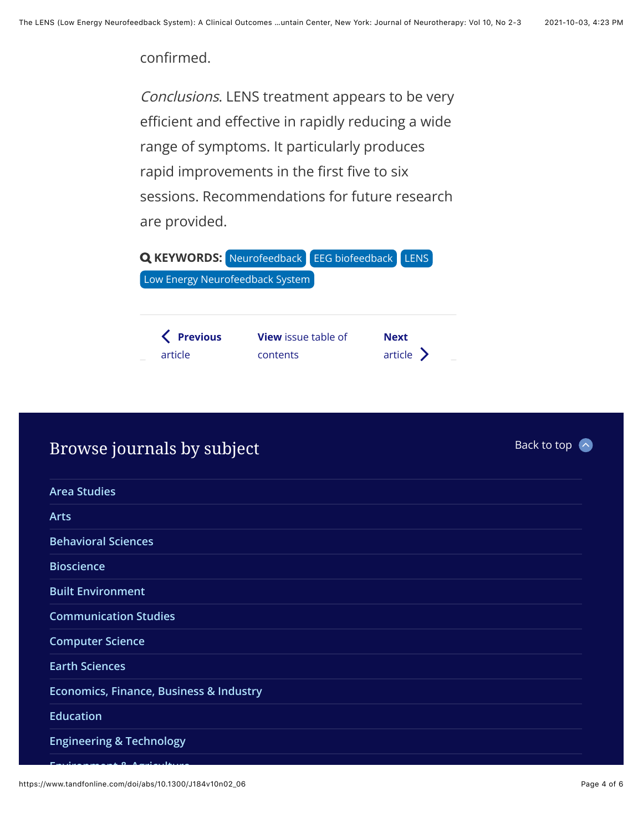#### confirmed.

Conclusions. LENS treatment appears to be very efficient and effective in rapidly reducing a wide range of symptoms. It particularly produces rapid improvements in the first five to six sessions. Recommendations for future research are provided.

|                                 | <b>Q KEYWORDS:</b> Neurofeedback EEG biofeedback LENS |             |           |  |  |  |
|---------------------------------|-------------------------------------------------------|-------------|-----------|--|--|--|
| Low Energy Neurofeedback System |                                                       |             |           |  |  |  |
|                                 |                                                       |             |           |  |  |  |
| K Previous<br>article           | <b>View</b> issue table of<br>contents                | <b>Next</b> | article > |  |  |  |

## Browse journals by subject

| <b>Arts</b><br><b>Behavioral Sciences</b><br><b>Bioscience</b><br><b>Built Environment</b><br><b>Communication Studies</b><br><b>Computer Science</b><br><b>Earth Sciences</b><br><b>Economics, Finance, Business &amp; Industry</b><br><b>Education</b><br><b>Engineering &amp; Technology</b> | <b>Area Studies</b> |
|-------------------------------------------------------------------------------------------------------------------------------------------------------------------------------------------------------------------------------------------------------------------------------------------------|---------------------|
|                                                                                                                                                                                                                                                                                                 |                     |
|                                                                                                                                                                                                                                                                                                 |                     |
|                                                                                                                                                                                                                                                                                                 |                     |
|                                                                                                                                                                                                                                                                                                 |                     |
|                                                                                                                                                                                                                                                                                                 |                     |
|                                                                                                                                                                                                                                                                                                 |                     |
|                                                                                                                                                                                                                                                                                                 |                     |
|                                                                                                                                                                                                                                                                                                 |                     |
|                                                                                                                                                                                                                                                                                                 |                     |
|                                                                                                                                                                                                                                                                                                 |                     |

Back to top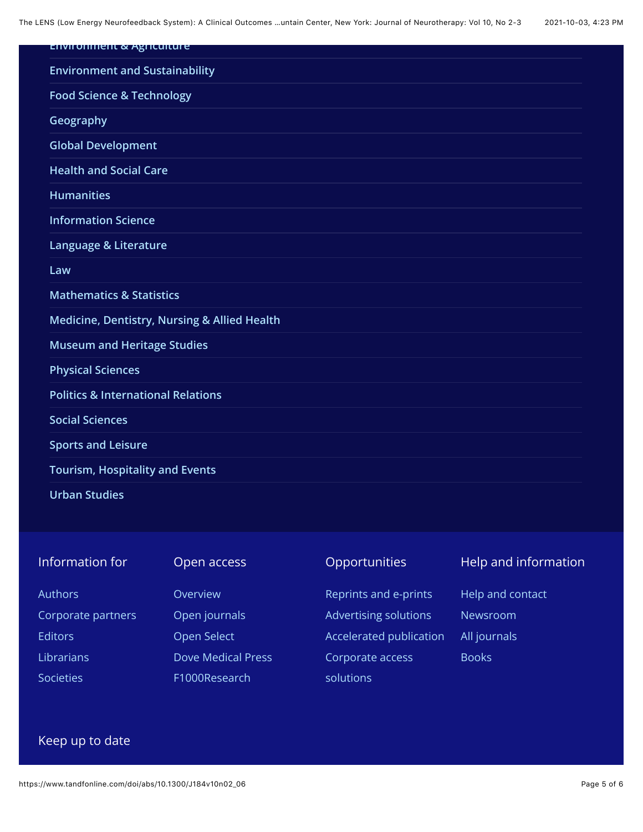The LENS (Low Energy Neurofeedback System): A Clinical Outcomes ...untain Center, New York: Journal of Neurotherapy: Vol 10, No 2-3 2021-10-03, 4:23 PM

| <b>Environment &amp; Agriculture</b>          |  |
|-----------------------------------------------|--|
| <b>Environment and Sustainability</b>         |  |
| <b>Food Science &amp; Technology</b>          |  |
| Geography                                     |  |
| <b>Global Development</b>                     |  |
| <b>Health and Social Care</b>                 |  |
| <b>Humanities</b>                             |  |
| <b>Information Science</b>                    |  |
| Language & Literature                         |  |
| Law                                           |  |
| <b>Mathematics &amp; Statistics</b>           |  |
| Medicine, Dentistry, Nursing & Allied Health  |  |
| <b>Museum and Heritage Studies</b>            |  |
| <b>Physical Sciences</b>                      |  |
| <b>Politics &amp; International Relations</b> |  |
| <b>Social Sciences</b>                        |  |
| <b>Sports and Leisure</b>                     |  |
| <b>Tourism, Hospitality and Events</b>        |  |
| <b>Urban Studies</b>                          |  |

| Information for    | Open access               | <b>Opportunities</b>    | Help and information |
|--------------------|---------------------------|-------------------------|----------------------|
| <b>Authors</b>     | Overview                  | Reprints and e-prints   | Help and contact     |
| Corporate partners | Open journals             | Advertising solutions   | Newsroom             |
| <b>Editors</b>     | Open Select               | Accelerated publication | All journals         |
| <b>Librarians</b>  | <b>Dove Medical Press</b> | Corporate access        | <b>Books</b>         |
| <b>Societies</b>   | F1000Research             | solutions               |                      |

### Keep up to date